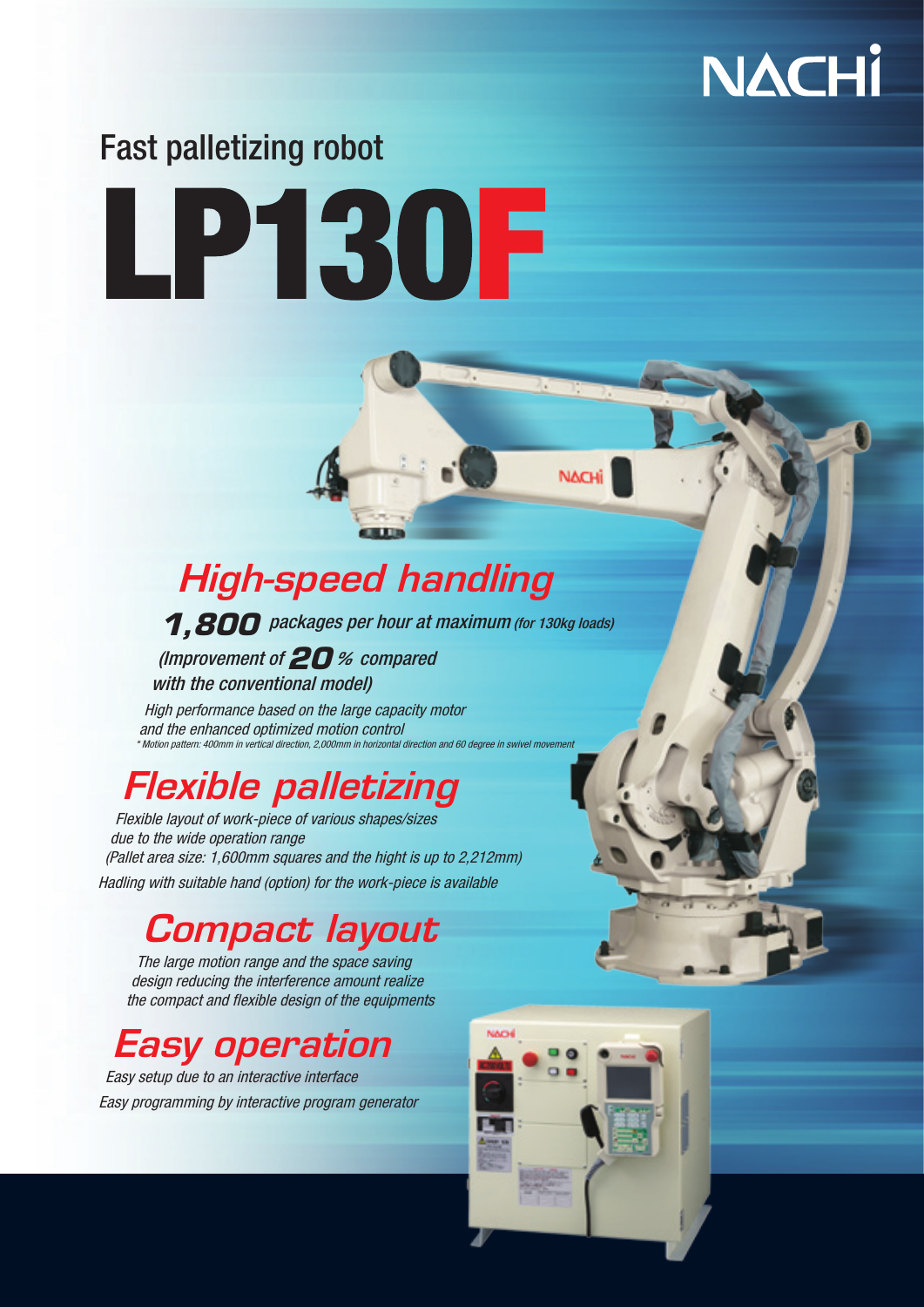

# Fast palletizing robot

# LPEROF

# **High-speed handling**

**1,800** packages per hour at maximum (for 130kg loads)

**NACHi** 

(Improvement of  $20$ % compared) with the conventional model)

High performance based on the large capacity motor and the enhanced optimized motion control \* Motion pattern: 400mm in vertical direction, 2,000mm in horizontal directio

# **Flexible palletizing**

Flexible layout of work-piece of various shapes/sizes due to the wide operation range (Pallet area size: 1,600 mm squares and the hight is up to  $2,212$  mm) Hadling with suitable hand (option) for the work-piece is available

## Compact layout

The large motion range and the space saving design reducing the interference amount realize the compact and flexible design of the equipments

# Easy operation

Easy setup due to an interactive interface Easy programming by interactive program generator